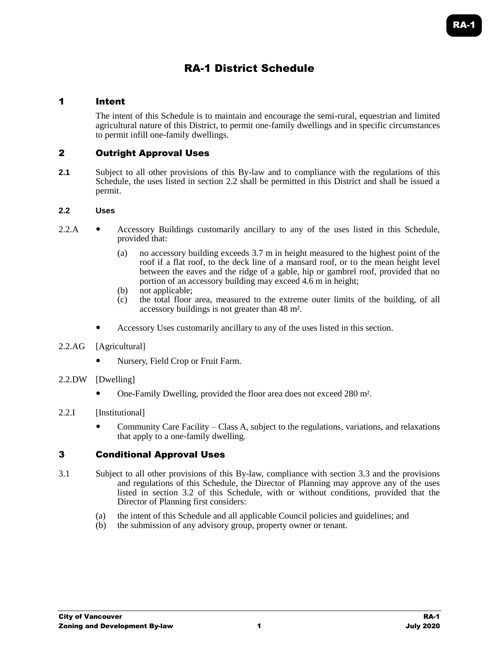# RA-1 District Schedule

## 1 Intent

The intent of this Schedule is to maintain and encourage the semi-rural, equestrian and limited agricultural nature of this District, to permit one-family dwellings and in specific circumstances to permit infill one-family dwellings.

## 2 Outright Approval Uses

**2.1** Subject to all other provisions of this By-law and to compliance with the regulations of this Schedule, the uses listed in section 2.2 shall be permitted in this District and shall be issued a permit.

#### **2.2 Uses**

- 2.2.A Accessory Buildings customarily ancillary to any of the uses listed in this Schedule, provided that:
	- (a) no accessory building exceeds 3.7 m in height measured to the highest point of the roof if a flat roof, to the deck line of a mansard roof, or to the mean height level between the eaves and the ridge of a gable, hip or gambrel roof, provided that no portion of an accessory building may exceed 4.6 m in height;
	- (b) not applicable;
	- (c) the total floor area, measured to the extreme outer limits of the building, of all accessory buildings is not greater than 48 m².
	- Accessory Uses customarily ancillary to any of the uses listed in this section.
- 2.2.AG [Agricultural]
	- Nursery, Field Crop or Fruit Farm.
- 2.2.DW [Dwelling]
	- One-Family Dwelling, provided the floor area does not exceed 280 m².
- 2.2.I [Institutional]
	- Community Care Facility Class A, subject to the regulations, variations, and relaxations that apply to a one-family dwelling.

#### 3 Conditional Approval Uses

- 3.1 Subject to all other provisions of this By-law, compliance with section 3.3 and the provisions and regulations of this Schedule, the Director of Planning may approve any of the uses listed in section 3.2 of this Schedule, with or without conditions, provided that the Director of Planning first considers:
	- (a) the intent of this Schedule and all applicable Council policies and guidelines; and
	- (b) the submission of any advisory group, property owner or tenant.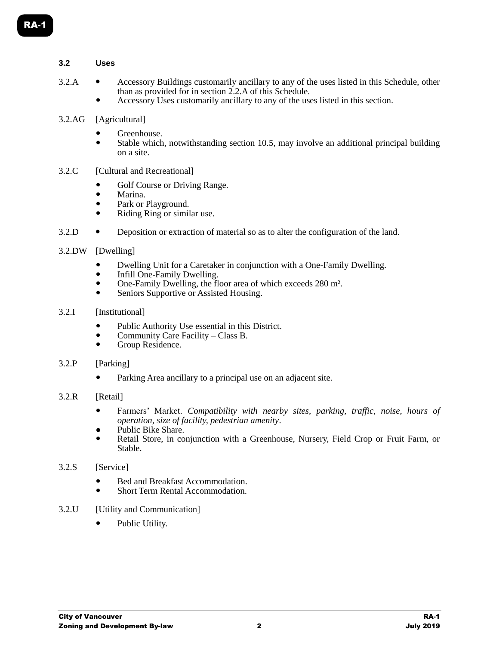## **3.2 Uses**

- 3.2.A Accessory Buildings customarily ancillary to any of the uses listed in this Schedule, other than as provided for in section 2.2.A of this Schedule.
	- Accessory Uses customarily ancillary to any of the uses listed in this section.
- 3.2.AG [Agricultural]
	- Greenhouse.
	- Stable which, notwithstanding section 10.5, may involve an additional principal building on a site.
- 3.2.C [Cultural and Recreational]
	- Golf Course or Driving Range.
	- Marina.
	- Park or Playground.
	- Riding Ring or similar use.
- 3.2.D Deposition or extraction of material so as to alter the configuration of the land.
- 3.2.DW [Dwelling]
	- Dwelling Unit for a Caretaker in conjunction with a One-Family Dwelling.
	- Infill One-Family Dwelling.
	- One-Family Dwelling, the floor area of which exceeds 280 m².
	- Seniors Supportive or Assisted Housing.
- 3.2.I [Institutional]
	- Public Authority Use essential in this District.
	- Community Care Facility Class B.<br>
	Group Residence
	- Group Residence.
- 3.2.P [Parking]
	- Parking Area ancillary to a principal use on an adjacent site.
- 3.2.R [Retail]
	- Farmers' Market. *Compatibility with nearby sites, parking, traffic, noise, hours of operation, size of facility, pedestrian amenity*.
	- Public Bike Share.
	- Retail Store, in conjunction with a Greenhouse, Nursery, Field Crop or Fruit Farm, or Stable.
- 3.2.S [Service]
	- Bed and Breakfast Accommodation.
	- Short Term Rental Accommodation.
- 3.2.U [Utility and Communication]
	- Public Utility.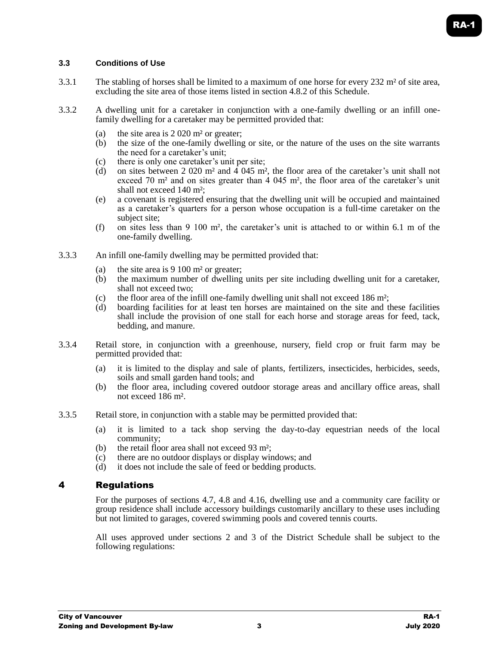## **3.3 Conditions of Use**

- 3.3.1 The stabling of horses shall be limited to a maximum of one horse for every 232 m² of site area, excluding the site area of those items listed in section 4.8.2 of this Schedule.
- 3.3.2 A dwelling unit for a caretaker in conjunction with a one-family dwelling or an infill onefamily dwelling for a caretaker may be permitted provided that:
	- (a) the site area is 2 020 m² or greater;
	- (b) the size of the one-family dwelling or site, or the nature of the uses on the site warrants the need for a caretaker's unit;
	- (c) there is only one caretaker's unit per site;
	- (d) on sites between 2 020 m<sup>2</sup> and  $\frac{1}{4}$  045 m<sup>2</sup>, the floor area of the caretaker's unit shall not exceed 70 m<sup>2</sup> and on sites greater than 4 045 m<sup>2</sup>, the floor area of the caretaker's unit shall not exceed 140 m²;
	- (e) a covenant is registered ensuring that the dwelling unit will be occupied and maintained as a caretaker's quarters for a person whose occupation is a full-time caretaker on the subject site;
	- (f) on sites less than 9 100  $m<sup>2</sup>$ , the caretaker's unit is attached to or within 6.1 m of the one-family dwelling.
- 3.3.3 An infill one-family dwelling may be permitted provided that:
	- (a) the site area is  $9\ 100 \text{ m}^2$  or greater;
	- (b) the maximum number of dwelling units per site including dwelling unit for a caretaker, shall not exceed two;
	- (c) the floor area of the infill one-family dwelling unit shall not exceed 186  $m<sup>2</sup>$ ;
	- (d) boarding facilities for at least ten horses are maintained on the site and these facilities shall include the provision of one stall for each horse and storage areas for feed, tack, bedding, and manure.
- 3.3.4 Retail store, in conjunction with a greenhouse, nursery, field crop or fruit farm may be permitted provided that:
	- (a) it is limited to the display and sale of plants, fertilizers, insecticides, herbicides, seeds, soils and small garden hand tools; and
	- (b) the floor area, including covered outdoor storage areas and ancillary office areas, shall not exceed 186 m².
- 3.3.5 Retail store, in conjunction with a stable may be permitted provided that:
	- (a) it is limited to a tack shop serving the day-to-day equestrian needs of the local community;
	- (b) the retail floor area shall not exceed 93 m²;
	- (c) there are no outdoor displays or display windows; and
	- (d) it does not include the sale of feed or bedding products.

#### 4 Regulations

For the purposes of sections 4.7, 4.8 and 4.16, dwelling use and a community care facility or group residence shall include accessory buildings customarily ancillary to these uses including but not limited to garages, covered swimming pools and covered tennis courts.

All uses approved under sections 2 and 3 of the District Schedule shall be subject to the following regulations: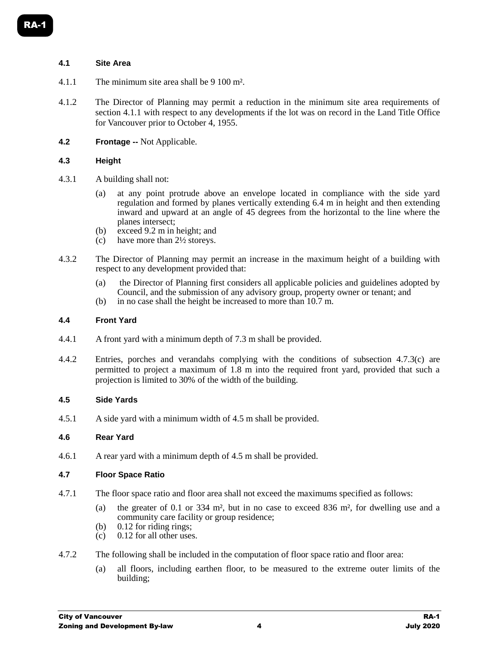#### **4.1 Site Area**

- 4.1.1 The minimum site area shall be 9 100 m².
- 4.1.2 The Director of Planning may permit a reduction in the minimum site area requirements of section 4.1.1 with respect to any developments if the lot was on record in the Land Title Office for Vancouver prior to October 4, 1955.
- **4.2 Frontage --** Not Applicable.

#### **4.3 Height**

- 4.3.1 A building shall not:
	- (a) at any point protrude above an envelope located in compliance with the side yard regulation and formed by planes vertically extending 6.4 m in height and then extending inward and upward at an angle of 45 degrees from the horizontal to the line where the planes intersect;
	- (b) exceed 9.2 m in height; and
	- (c) have more than 2½ storeys.
- 4.3.2 The Director of Planning may permit an increase in the maximum height of a building with respect to any development provided that:
	- (a) the Director of Planning first considers all applicable policies and guidelines adopted by Council, and the submission of any advisory group, property owner or tenant; and
	- (b) in no case shall the height be increased to more than 10.7 m.

#### **4.4 Front Yard**

- 4.4.1 A front yard with a minimum depth of 7.3 m shall be provided.
- 4.4.2 Entries, porches and verandahs complying with the conditions of subsection 4.7.3(c) are permitted to project a maximum of 1.8 m into the required front yard, provided that such a projection is limited to 30% of the width of the building.

#### **4.5 Side Yards**

4.5.1 A side yard with a minimum width of 4.5 m shall be provided.

#### **4.6 Rear Yard**

4.6.1 A rear yard with a minimum depth of 4.5 m shall be provided.

#### **4.7 Floor Space Ratio**

- 4.7.1 The floor space ratio and floor area shall not exceed the maximums specified as follows:
	- (a) the greater of 0.1 or 334 m², but in no case to exceed 836 m², for dwelling use and a community care facility or group residence;
	- (b) 0.12 for riding rings;
	- (c) 0.12 for all other uses.
- 4.7.2 The following shall be included in the computation of floor space ratio and floor area:
	- (a) all floors, including earthen floor, to be measured to the extreme outer limits of the building;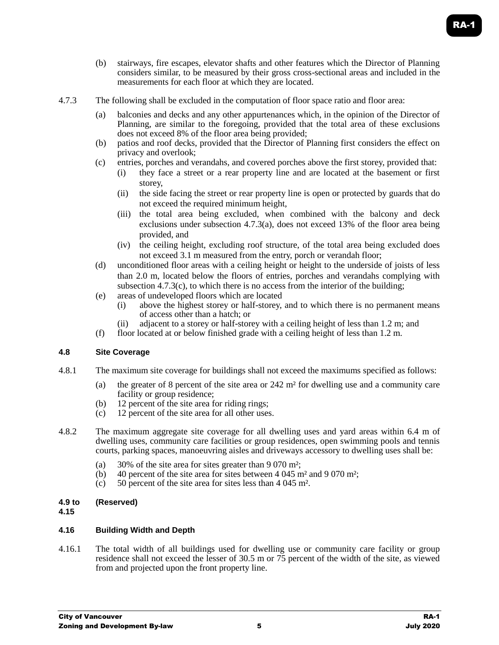- (b) stairways, fire escapes, elevator shafts and other features which the Director of Planning considers similar, to be measured by their gross cross-sectional areas and included in the measurements for each floor at which they are located.
- 4.7.3 The following shall be excluded in the computation of floor space ratio and floor area:
	- (a) balconies and decks and any other appurtenances which, in the opinion of the Director of Planning, are similar to the foregoing, provided that the total area of these exclusions does not exceed 8% of the floor area being provided;
	- (b) patios and roof decks, provided that the Director of Planning first considers the effect on privacy and overlook;
	- (c) entries, porches and verandahs, and covered porches above the first storey, provided that:
		- (i) they face a street or a rear property line and are located at the basement or first storey,
		- (ii) the side facing the street or rear property line is open or protected by guards that do not exceed the required minimum height,
		- (iii) the total area being excluded, when combined with the balcony and deck exclusions under subsection 4.7.3(a), does not exceed 13% of the floor area being provided, and
		- (iv) the ceiling height, excluding roof structure, of the total area being excluded does not exceed 3.1 m measured from the entry, porch or verandah floor;
	- (d) unconditioned floor areas with a ceiling height or height to the underside of joists of less than 2.0 m, located below the floors of entries, porches and verandahs complying with subsection  $4.7.3(c)$ , to which there is no access from the interior of the building;
	- (e) areas of undeveloped floors which are located
		- (i) above the highest storey or half-storey, and to which there is no permanent means of access other than a hatch; or
		- (ii) adjacent to a storey or half-storey with a ceiling height of less than 1.2 m; and
	- (f) floor located at or below finished grade with a ceiling height of less than  $1.2$  m.

#### **4.8 Site Coverage**

- 4.8.1 The maximum site coverage for buildings shall not exceed the maximums specified as follows:
	- (a) the greater of 8 percent of the site area or  $242 \text{ m}^2$  for dwelling use and a community care facility or group residence;
	- (b) 12 percent of the site area for riding rings;
	- (c) 12 percent of the site area for all other uses.
- 4.8.2 The maximum aggregate site coverage for all dwelling uses and yard areas within 6.4 m of dwelling uses, community care facilities or group residences, open swimming pools and tennis courts, parking spaces, manoeuvring aisles and driveways accessory to dwelling uses shall be:
	- (a) 30% of the site area for sites greater than 9 070 m²;
	- (b) 40 percent of the site area for sites between 4 045 m<sup>2</sup> and 9 070 m<sup>2</sup>;
	- (c) 50 percent of the site area for sites less than 4 045 m².

# **4.9 to (Reserved)**

#### **4.15**

#### **4.16 Building Width and Depth**

4.16.1 The total width of all buildings used for dwelling use or community care facility or group residence shall not exceed the lesser of 30.5 m or 75 percent of the width of the site, as viewed from and projected upon the front property line.